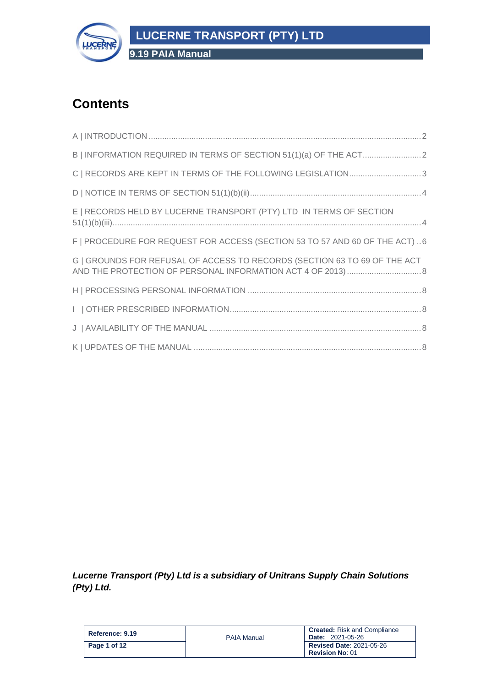

**9.19 PAIA Manual**

# **Contents**

| C   RECORDS ARE KEPT IN TERMS OF THE FOLLOWING LEGISLATION3                  |
|------------------------------------------------------------------------------|
|                                                                              |
| E   RECORDS HELD BY LUCERNE TRANSPORT (PTY) LTD IN TERMS OF SECTION          |
| F   PROCEDURE FOR REQUEST FOR ACCESS (SECTION 53 TO 57 AND 60 OF THE ACT)  6 |
| G   GROUNDS FOR REFUSAL OF ACCESS TO RECORDS (SECTION 63 TO 69 OF THE ACT    |
|                                                                              |
|                                                                              |
|                                                                              |
|                                                                              |

*Lucerne Transport (Pty) Ltd is a subsidiary of Unitrans Supply Chain Solutions (Pty) Ltd.*

| Reference: 9.19 | <b>PAIA Manual</b> | <b>Created:</b> Risk and Compliance<br><b>Date: 2021-05-26</b> |
|-----------------|--------------------|----------------------------------------------------------------|
| Page 1 of 12    |                    | <b>Revised Date: 2021-05-26</b>                                |
|                 |                    | <b>Revision No: 01</b>                                         |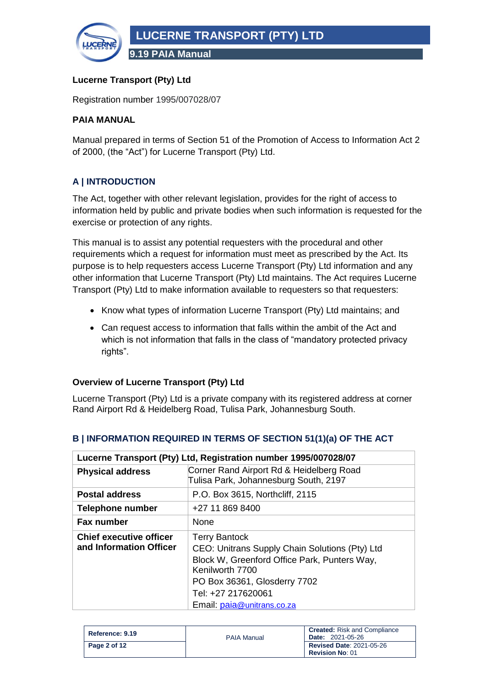

#### **Lucerne Transport (Pty) Ltd**

Registration number 1995/007028/07

#### **PAIA MANUAL**

Manual prepared in terms of Section 51 of the Promotion of Access to Information Act 2 of 2000, (the "Act") for Lucerne Transport (Pty) Ltd.

## <span id="page-1-0"></span>**A | INTRODUCTION**

The Act, together with other relevant legislation, provides for the right of access to information held by public and private bodies when such information is requested for the exercise or protection of any rights.

This manual is to assist any potential requesters with the procedural and other requirements which a request for information must meet as prescribed by the Act. Its purpose is to help requesters access Lucerne Transport (Pty) Ltd information and any other information that Lucerne Transport (Pty) Ltd maintains. The Act requires Lucerne Transport (Pty) Ltd to make information available to requesters so that requesters:

- Know what types of information Lucerne Transport (Pty) Ltd maintains; and
- Can request access to information that falls within the ambit of the Act and which is not information that falls in the class of "mandatory protected privacy rights".

#### **Overview of Lucerne Transport (Pty) Ltd**

Lucerne Transport (Pty) Ltd is a private company with its registered address at corner Rand Airport Rd & Heidelberg Road, Tulisa Park, Johannesburg South.

| Lucerne Transport (Pty) Ltd, Registration number 1995/007028/07 |                                                                                                                                                                                                                               |
|-----------------------------------------------------------------|-------------------------------------------------------------------------------------------------------------------------------------------------------------------------------------------------------------------------------|
| <b>Physical address</b>                                         | Corner Rand Airport Rd & Heidelberg Road<br>Tulisa Park, Johannesburg South, 2197                                                                                                                                             |
| <b>Postal address</b>                                           | P.O. Box 3615, Northcliff, 2115                                                                                                                                                                                               |
| <b>Telephone number</b>                                         | +27 11 869 8400                                                                                                                                                                                                               |
| <b>Fax number</b>                                               | <b>None</b>                                                                                                                                                                                                                   |
| <b>Chief executive officer</b><br>and Information Officer       | <b>Terry Bantock</b><br>CEO: Unitrans Supply Chain Solutions (Pty) Ltd<br>Block W, Greenford Office Park, Punters Way,<br>Kenilworth 7700<br>PO Box 36361, Glosderry 7702<br>Tel: +27 217620061<br>Email: paia@unitrans.co.za |

## <span id="page-1-1"></span>**B | INFORMATION REQUIRED IN TERMS OF SECTION 51(1)(a) OF THE ACT**

| Reference: 9.19 | <b>PAIA Manual</b> | <b>Created:</b> Risk and Compliance<br><b>Date: 2021-05-26</b> |
|-----------------|--------------------|----------------------------------------------------------------|
| Page 2 of 12    |                    | <b>Revised Date: 2021-05-26</b><br><b>Revision No: 01</b>      |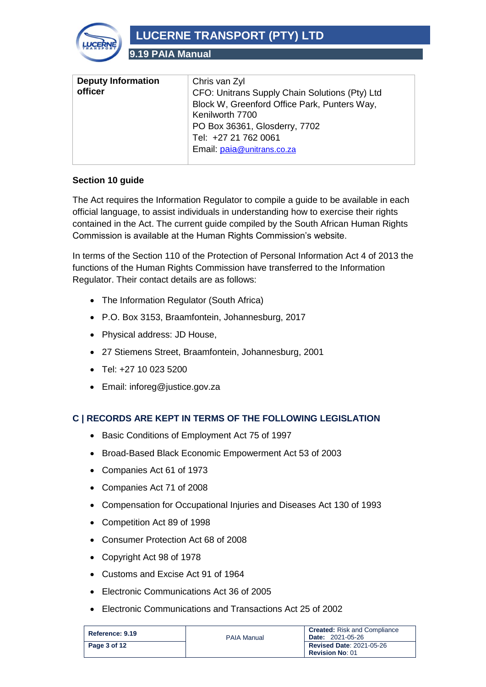

**9.19 PAIA Manual**

| <b>Deputy Information</b><br>officer | Chris van Zyl<br>CFO: Unitrans Supply Chain Solutions (Pty) Ltd<br>Block W, Greenford Office Park, Punters Way,<br>Kenilworth 7700 |
|--------------------------------------|------------------------------------------------------------------------------------------------------------------------------------|
|                                      | PO Box 36361, Glosderry, 7702<br>Tel: +27 21 762 0061<br>Email: paia@unitrans.co.za                                                |

#### **Section 10 guide**

The Act requires the Information Regulator to compile a guide to be available in each official language, to assist individuals in understanding how to exercise their rights contained in the Act. The current guide compiled by the South African Human Rights Commission is available at the Human Rights Commission's website.

In terms of the Section 110 of the Protection of Personal Information Act 4 of 2013 the functions of the Human Rights Commission have transferred to the Information Regulator. Their contact details are as follows:

- The Information Regulator (South Africa)
- P.O. Box 3153, Braamfontein, Johannesburg, 2017
- Physical address: JD House,
- 27 Stiemens Street, Braamfontein, Johannesburg, 2001
- Tel: +27 10 023 5200
- Email: inforeg@justice.gov.za

#### <span id="page-2-0"></span>**C | RECORDS ARE KEPT IN TERMS OF THE FOLLOWING LEGISLATION**

- Basic Conditions of Employment Act 75 of 1997
- Broad-Based Black Economic Empowerment Act 53 of 2003
- Companies Act 61 of 1973
- Companies Act 71 of 2008
- Compensation for Occupational Injuries and Diseases Act 130 of 1993
- Competition Act 89 of 1998
- Consumer Protection Act 68 of 2008
- Copyright Act 98 of 1978
- Customs and Excise Act 91 of 1964
- Electronic Communications Act 36 of 2005
- Electronic Communications and Transactions Act 25 of 2002

| Reference: 9.19 | <b>PAIA Manual</b> | <b>Created:</b> Risk and Compliance<br><b>Date: 2021-05-26</b> |
|-----------------|--------------------|----------------------------------------------------------------|
| Page 3 of 12    |                    | <b>Revised Date: 2021-05-26</b><br><b>Revision No: 01</b>      |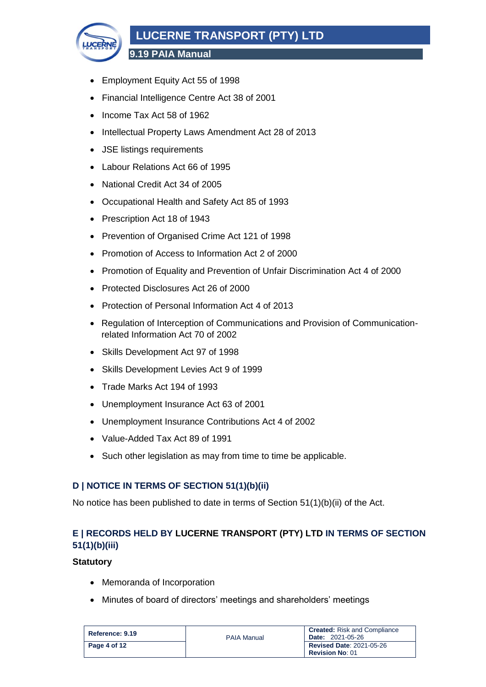

**9.19 PAIA Manual**

- Employment Equity Act 55 of 1998
- Financial Intelligence Centre Act 38 of 2001
- Income Tax Act 58 of 1962
- Intellectual Property Laws Amendment Act 28 of 2013
- JSE listings requirements
- Labour Relations Act 66 of 1995
- National Credit Act 34 of 2005
- Occupational Health and Safety Act 85 of 1993
- Prescription Act 18 of 1943
- Prevention of Organised Crime Act 121 of 1998
- Promotion of Access to Information Act 2 of 2000
- Promotion of Equality and Prevention of Unfair Discrimination Act 4 of 2000
- Protected Disclosures Act 26 of 2000
- Protection of Personal Information Act 4 of 2013
- Regulation of Interception of Communications and Provision of Communicationrelated Information Act 70 of 2002
- Skills Development Act 97 of 1998
- Skills Development Levies Act 9 of 1999
- Trade Marks Act 194 of 1993
- Unemployment Insurance Act 63 of 2001
- Unemployment Insurance Contributions Act 4 of 2002
- Value-Added Tax Act 89 of 1991
- Such other legislation as may from time to time be applicable.

#### <span id="page-3-0"></span>**D | NOTICE IN TERMS OF SECTION 51(1)(b)(ii)**

No notice has been published to date in terms of Section 51(1)(b)(ii) of the Act.

## <span id="page-3-1"></span>**E | RECORDS HELD BY LUCERNE TRANSPORT (PTY) LTD IN TERMS OF SECTION 51(1)(b)(iii)**

#### **Statutory**

- Memoranda of Incorporation
- Minutes of board of directors' meetings and shareholders' meetings

| Reference: 9.19 | <b>PAIA Manual</b> | <b>Created:</b> Risk and Compliance<br><b>Date: 2021-05-26</b> |
|-----------------|--------------------|----------------------------------------------------------------|
| Page 4 of 12    |                    | <b>Revised Date: 2021-05-26</b>                                |
|                 |                    | <b>Revision No: 01</b>                                         |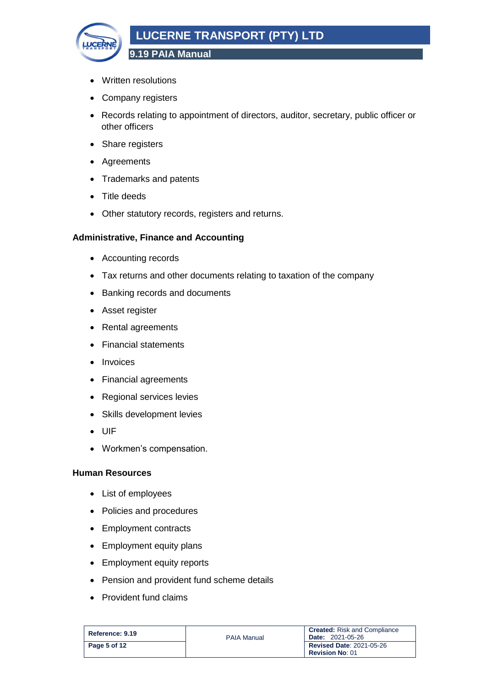

- Written resolutions
- Company registers
- Records relating to appointment of directors, auditor, secretary, public officer or other officers
- Share registers
- Agreements
- Trademarks and patents
- Title deeds
- Other statutory records, registers and returns.

#### **Administrative, Finance and Accounting**

- Accounting records
- Tax returns and other documents relating to taxation of the company
- Banking records and documents
- Asset register
- Rental agreements
- Financial statements
- Invoices
- Financial agreements
- Regional services levies
- Skills development levies
- UIF
- Workmen's compensation.

#### **Human Resources**

- List of employees
- Policies and procedures
- Employment contracts
- Employment equity plans
- Employment equity reports
- Pension and provident fund scheme details
- Provident fund claims

| Reference: 9.19 | <b>PAIA Manual</b> | <b>Created:</b> Risk and Compliance<br><b>Date: 2021-05-26</b> |
|-----------------|--------------------|----------------------------------------------------------------|
| Page 5 of 12    |                    | <b>Revised Date: 2021-05-26</b><br><b>Revision No: 01</b>      |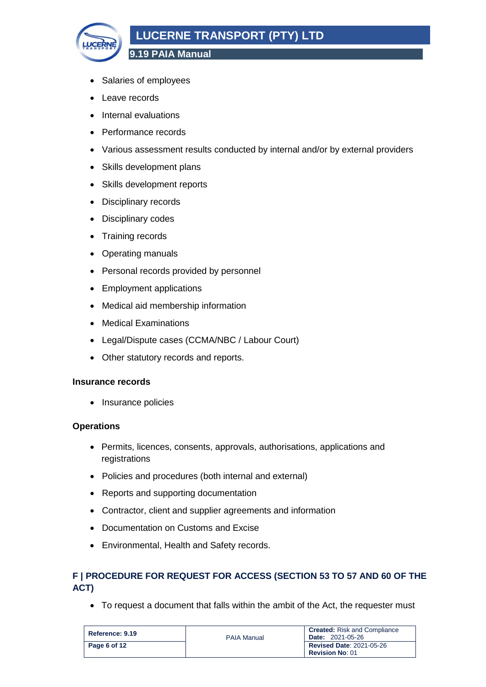

**9.19 PAIA Manual**

- Salaries of employees
- Leave records
- Internal evaluations
- Performance records
- Various assessment results conducted by internal and/or by external providers
- Skills development plans
- Skills development reports
- Disciplinary records
- Disciplinary codes
- Training records
- Operating manuals
- Personal records provided by personnel
- Employment applications
- Medical aid membership information
- Medical Examinations
- Legal/Dispute cases (CCMA/NBC / Labour Court)
- Other statutory records and reports.

#### **Insurance records**

• Insurance policies

#### **Operations**

- Permits, licences, consents, approvals, authorisations, applications and registrations
- Policies and procedures (both internal and external)
- Reports and supporting documentation
- Contractor, client and supplier agreements and information
- Documentation on Customs and Excise
- Environmental, Health and Safety records.

### <span id="page-5-0"></span>**F | PROCEDURE FOR REQUEST FOR ACCESS (SECTION 53 TO 57 AND 60 OF THE ACT)**

• To request a document that falls within the ambit of the Act, the requester must

| Reference: 9.19 | <b>PAIA Manual</b> | <b>Created:</b> Risk and Compliance<br><b>Date: 2021-05-26</b> |
|-----------------|--------------------|----------------------------------------------------------------|
| Page 6 of 12    |                    | <b>Revised Date: 2021-05-26</b><br><b>Revision No: 01</b>      |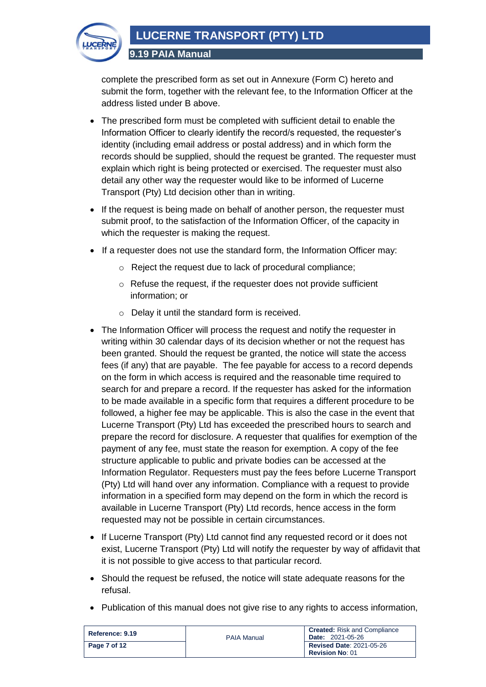

complete the prescribed form as set out in Annexure (Form C) hereto and submit the form, together with the relevant fee, to the Information Officer at the address listed under B above.

- The prescribed form must be completed with sufficient detail to enable the Information Officer to clearly identify the record/s requested, the requester's identity (including email address or postal address) and in which form the records should be supplied, should the request be granted. The requester must explain which right is being protected or exercised. The requester must also detail any other way the requester would like to be informed of Lucerne Transport (Pty) Ltd decision other than in writing.
- If the request is being made on behalf of another person, the requester must submit proof, to the satisfaction of the Information Officer, of the capacity in which the requester is making the request.
- If a requester does not use the standard form, the Information Officer may:
	- o Reject the request due to lack of procedural compliance;
	- o Refuse the request, if the requester does not provide sufficient information; or
	- o Delay it until the standard form is received.
- The Information Officer will process the request and notify the requester in writing within 30 calendar days of its decision whether or not the request has been granted. Should the request be granted, the notice will state the access fees (if any) that are payable. The fee payable for access to a record depends on the form in which access is required and the reasonable time required to search for and prepare a record. If the requester has asked for the information to be made available in a specific form that requires a different procedure to be followed, a higher fee may be applicable. This is also the case in the event that Lucerne Transport (Pty) Ltd has exceeded the prescribed hours to search and prepare the record for disclosure. A requester that qualifies for exemption of the payment of any fee, must state the reason for exemption. A copy of the fee structure applicable to public and private bodies can be accessed at the Information Regulator. Requesters must pay the fees before Lucerne Transport (Pty) Ltd will hand over any information. Compliance with a request to provide information in a specified form may depend on the form in which the record is available in Lucerne Transport (Pty) Ltd records, hence access in the form requested may not be possible in certain circumstances.
- If Lucerne Transport (Pty) Ltd cannot find any requested record or it does not exist, Lucerne Transport (Pty) Ltd will notify the requester by way of affidavit that it is not possible to give access to that particular record.
- Should the request be refused, the notice will state adequate reasons for the refusal.
- Publication of this manual does not give rise to any rights to access information,

| Reference: 9.19 | <b>PAIA Manual</b> | <b>Created:</b> Risk and Compliance<br><b>Date: 2021-05-26</b> |
|-----------------|--------------------|----------------------------------------------------------------|
| Page 7 of 12    |                    | <b>Revised Date: 2021-05-26</b>                                |
|                 |                    | <b>Revision No: 01</b>                                         |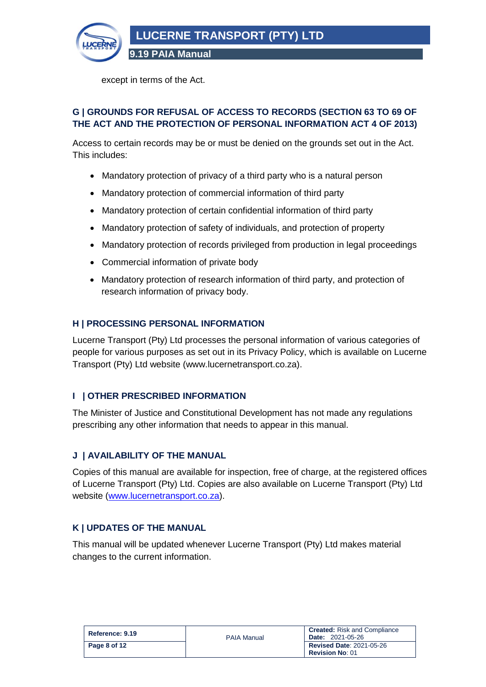

except in terms of the Act.

#### <span id="page-7-0"></span>**G | GROUNDS FOR REFUSAL OF ACCESS TO RECORDS (SECTION 63 TO 69 OF THE ACT AND THE PROTECTION OF PERSONAL INFORMATION ACT 4 OF 2013)**

Access to certain records may be or must be denied on the grounds set out in the Act. This includes:

- Mandatory protection of privacy of a third party who is a natural person
- Mandatory protection of commercial information of third party
- Mandatory protection of certain confidential information of third party
- Mandatory protection of safety of individuals, and protection of property
- Mandatory protection of records privileged from production in legal proceedings
- Commercial information of private body
- Mandatory protection of research information of third party, and protection of research information of privacy body.

#### <span id="page-7-1"></span>**H | PROCESSING PERSONAL INFORMATION**

Lucerne Transport (Pty) Ltd processes the personal information of various categories of people for various purposes as set out in its Privacy Policy, which is available on Lucerne Transport (Pty) Ltd website (www.lucernetransport.co.za).

#### <span id="page-7-2"></span>**I | OTHER PRESCRIBED INFORMATION**

The Minister of Justice and Constitutional Development has not made any regulations prescribing any other information that needs to appear in this manual.

#### <span id="page-7-3"></span>**J | AVAILABILITY OF THE MANUAL**

Copies of this manual are available for inspection, free of charge, at the registered offices of Lucerne Transport (Pty) Ltd. Copies are also available on Lucerne Transport (Pty) Ltd website [\(www.lucernetransport.co.za\)](http://www.lucernetransport.co.za/).

#### <span id="page-7-4"></span>**K | UPDATES OF THE MANUAL**

This manual will be updated whenever Lucerne Transport (Pty) Ltd makes material changes to the current information.

| Reference: 9.19 | <b>PAIA Manual</b> | <b>Created:</b> Risk and Compliance<br><b>Date: 2021-05-26</b> |
|-----------------|--------------------|----------------------------------------------------------------|
| Page 8 of 12    |                    | <b>Revised Date: 2021-05-26</b><br><b>Revision No: 01</b>      |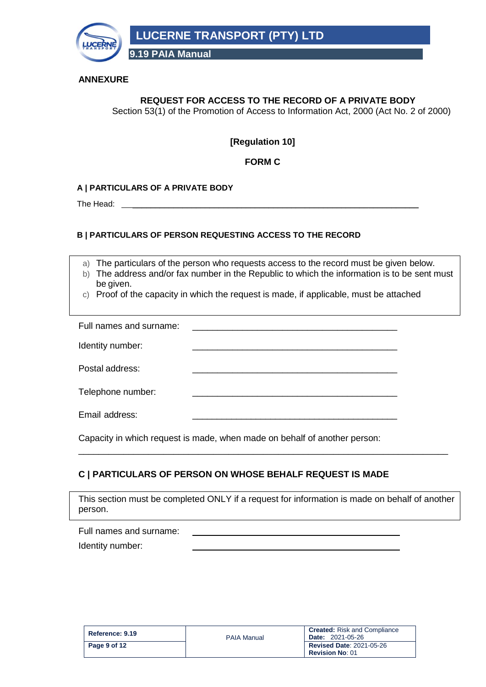

#### **ANNEXURE**

### **REQUEST FOR ACCESS TO THE RECORD OF A PRIVATE BODY**

Section 53(1) of the Promotion of Access to Information Act, 2000 (Act No. 2 of 2000)

#### **[Regulation 10]**

#### **FORM C**

#### **A | PARTICULARS OF A PRIVATE BODY**

The Head:

#### **B | PARTICULARS OF PERSON REQUESTING ACCESS TO THE RECORD**

a) The particulars of the person who requests access to the record must be given below.

- b) The address and/or fax number in the Republic to which the information is to be sent must be given.
- c) Proof of the capacity in which the request is made, if applicable, must be attached

| Full names and surname: |  |
|-------------------------|--|
| Identity number:        |  |
| Postal address:         |  |
| Telephone number:       |  |
| Email address:          |  |

Capacity in which request is made, when made on behalf of another person:

#### **C | PARTICULARS OF PERSON ON WHOSE BEHALF REQUEST IS MADE**

This section must be completed ONLY if a request for information is made on behalf of another person.

\_\_\_\_\_\_\_\_\_\_\_\_\_\_\_\_\_\_\_\_\_\_\_\_\_\_\_\_\_\_\_\_\_\_\_\_\_\_\_\_\_\_\_\_\_\_\_\_\_\_\_\_\_\_\_\_\_\_\_\_\_\_\_\_\_\_\_\_\_\_\_\_\_\_

| Full names and surname: |  |
|-------------------------|--|
| Identity number:        |  |

| Reference: 9.19 | <b>PAIA Manual</b> | <b>Created:</b> Risk and Compliance<br><b>Date: 2021-05-26</b> |
|-----------------|--------------------|----------------------------------------------------------------|
| Page 9 of 12    |                    | <b>Revised Date: 2021-05-26</b><br><b>Revision No: 01</b>      |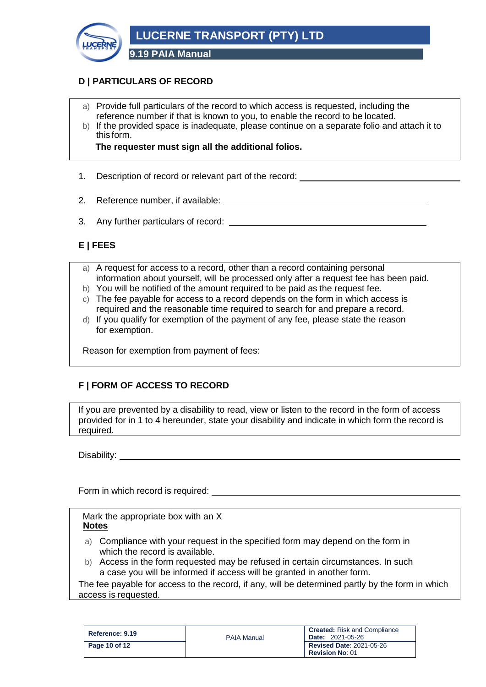

## **D | PARTICULARS OF RECORD**

- a) Provide full particulars of the record to which access is requested, including the reference number if that is known to you, to enable the record to be located.
- b) If the provided space is inadequate, please continue on a separate folio and attach it to this form.

**The requester must sign all the additional folios.**

- 1. Description of record or relevant part of the record:
- 2. Reference number, if available:
- 3. Any further particulars of record:

## **E | FEES**

- a) A request for access to a record, other than a record containing personal information about yourself, will be processed only after a request fee has been paid.
- b) You will be notified of the amount required to be paid as the request fee.
- c) The fee payable for access to a record depends on the form in which access is required and the reasonable time required to search for and prepare a record.
- d) If you qualify for exemption of the payment of any fee, please state the reason for exemption.

Reason for exemption from payment of fees:

## **F | FORM OF ACCESS TO RECORD**

If you are prevented by a disability to read, view or listen to the record in the form of access provided for in 1 to 4 hereunder, state your disability and indicate in which form the record is required.

Disability:

Form in which record is required:

Mark the appropriate box with an X **Notes**

- a) Compliance with your request in the specified form may depend on the form in which the record is available.
- b) Access in the form requested may be refused in certain circumstances. In such a case you will be informed if access will be granted in another form.

The fee payable for access to the record, if any, will be determined partly by the form in which access is requested.

| Reference: 9.19 | <b>PAIA Manual</b> | <b>Created:</b> Risk and Compliance<br><b>Date: 2021-05-26</b> |
|-----------------|--------------------|----------------------------------------------------------------|
| Page 10 of 12   |                    | <b>Revised Date: 2021-05-26</b><br><b>Revision No: 01</b>      |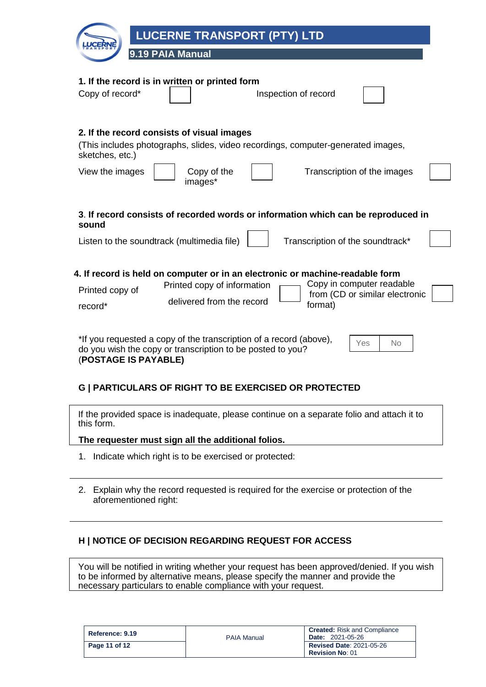| <b>LUCERNE TRANSPORT (PTY) LTD</b>                                                                                                                                                                                                                            |
|---------------------------------------------------------------------------------------------------------------------------------------------------------------------------------------------------------------------------------------------------------------|
| 9.19 PAIA Manual                                                                                                                                                                                                                                              |
| 1. If the record is in written or printed form<br>Copy of record*<br>Inspection of record                                                                                                                                                                     |
| 2. If the record consists of visual images<br>(This includes photographs, slides, video recordings, computer-generated images,<br>sketches, etc.)<br>View the images<br>Copy of the<br>Transcription of the images<br>images*                                 |
| 3. If record consists of recorded words or information which can be reproduced in<br>sound<br>Listen to the soundtrack (multimedia file)<br>Transcription of the soundtrack*                                                                                  |
| 4. If record is held on computer or in an electronic or machine-readable form<br>Copy in computer readable<br>Printed copy of information<br>Printed copy of<br>from (CD or similar electronic<br>delivered from the record<br>format)<br>record <sup>*</sup> |
| *If you requested a copy of the transcription of a record (above),<br>Yes<br>No<br>do you wish the copy or transcription to be posted to you?<br>(POSTAGE IS PAYABLE)                                                                                         |

## **G | PARTICULARS OF RIGHT TO BE EXERCISED OR PROTECTED**

If the provided space is inadequate, please continue on a separate folio and attach it to this form.

**The requester must sign all the additional folios.**

- 1. Indicate which right is to be exercised or protected:
- 2. Explain why the record requested is required for the exercise or protection of the aforementioned right:

## **H | NOTICE OF DECISION REGARDING REQUEST FOR ACCESS**

You will be notified in writing whether your request has been approved/denied. If you wish to be informed by alternative means, please specify the manner and provide the necessary particulars to enable compliance with your request.

| Reference: 9.19 | <b>PAIA Manual</b> | <b>Created:</b> Risk and Compliance<br><b>Date: 2021-05-26</b> |
|-----------------|--------------------|----------------------------------------------------------------|
| Page 11 of 12   |                    | <b>Revised Date: 2021-05-26</b><br><b>Revision No: 01</b>      |